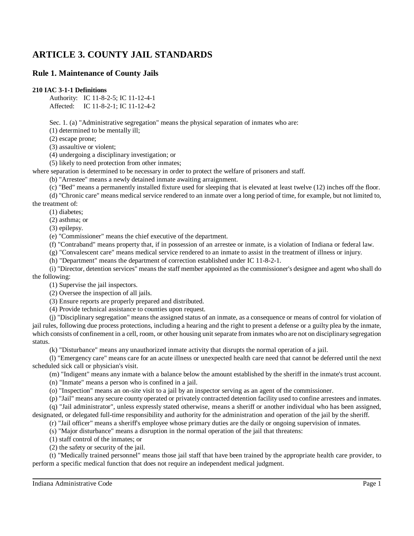# **ARTICLE 3. COUNTY JAIL STANDARDS**

# **Rule 1. Maintenance of County Jails**

### **210 IAC 3-1-1 Definitions**

Authority: IC 11-8-2-5; IC 11-12-4-1 Affected: IC 11-8-2-1; IC 11-12-4-2

Sec. 1. (a) "Administrative segregation" means the physical separation of inmates who are:

(1) determined to be mentally ill;

(2) escape prone;

(3) assaultive or violent;

(4) undergoing a disciplinary investigation; or

(5) likely to need protection from other inmates;

where separation is determined to be necessary in order to protect the welfare of prisoners and staff.

(b) "Arrestee" means a newly detained inmate awaiting arraignment.

(c) "Bed" means a permanently installed fixture used for sleeping that is elevated at least twelve (12) inches off the floor.

(d) "Chronic care" means medical service rendered to an inmate over a long period of time, for example, but not limited to, the treatment of:

(1) diabetes;

(2) asthma; or

(3) epilepsy.

(e) "Commissioner" means the chief executive of the department.

(f) "Contraband" means property that, if in possession of an arrestee or inmate, is a violation of Indiana or federal law.

(g) "Convalescent care" means medical service rendered to an inmate to assist in the treatment of illness or injury.

(h) "Department" means the department of correction established under IC 11-8-2-1.

(i) "Director, detention services" means the staff member appointed as the commissioner's designee and agent who shall do the following:

(1) Supervise the jail inspectors.

(2) Oversee the inspection of all jails.

(3) Ensure reports are properly prepared and distributed.

(4) Provide technical assistance to counties upon request.

(j) "Disciplinary segregation" means the assigned status of an inmate, as a consequence or means of control for violation of jail rules, following due process protections, including a hearing and the right to present a defense or a guilty plea by the inmate, which consists of confinement in a cell, room, or other housing unit separate from inmates who are not on disciplinary segregation status.

(k) "Disturbance" means any unauthorized inmate activity that disrupts the normal operation of a jail.

(l) "Emergency care" means care for an acute illness or unexpected health care need that cannot be deferred until the next scheduled sick call or physician's visit.

(m) "Indigent" means any inmate with a balance below the amount established by the sheriff in the inmate's trust account.

(n) "Inmate" means a person who is confined in a jail.

(o) "Inspection" means an on-site visit to a jail by an inspector serving as an agent of the commissioner.

(p) "Jail" means any secure county operated or privately contracted detention facility used to confine arrestees and inmates.

(q) "Jail administrator", unless expressly stated otherwise, means a sheriff or another individual who has been assigned, designated, or delegated full-time responsibility and authority for the administration and operation of the jail by the sheriff.

(r) "Jail officer" means a sheriff's employee whose primary duties are the daily or ongoing supervision of inmates.

(s) "Major disturbance" means a disruption in the normal operation of the jail that threatens:

(1) staff control of the inmates; or

(2) the safety or security of the jail.

(t) "Medically trained personnel" means those jail staff that have been trained by the appropriate health care provider, to perform a specific medical function that does not require an independent medical judgment.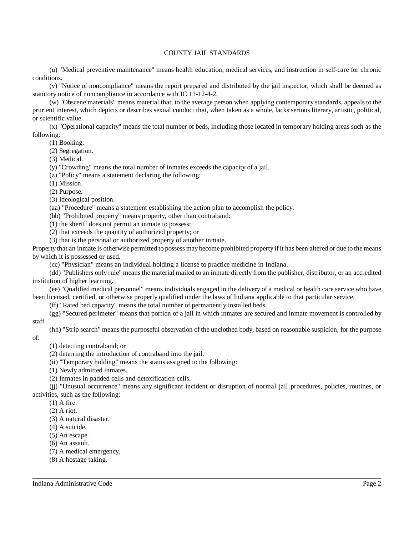(u) "Medical preventive maintenance" means health education, medical services, and instruction in self-care for chronic conditions.

(v) "Notice of noncompliance" means the report prepared and distributed by the jail inspector, which shall be deemed as statutory notice of noncompliance in accordance with IC 11-12-4-2.

(w) "Obscene materials" means material that, to the average person when applying contemporary standards, appeals to the prurient interest, which depicts or describes sexual conduct that, when taken as a whole, lacks serious literary, artistic, political, or scientific value.

(x) "Operational capacity" means the total number of beds, including those located in temporary holding areas such as the following:

(1) Booking.

(2) Segregation.

(3) Medical.

(y) "Crowding" means the total number of inmates exceeds the capacity of a jail.

(z) "Policy" means a statement declaring the following:

(1) Mission.

(2) Purpose.

(3) Ideological position.

(aa) "Procedure" means a statement establishing the action plan to accomplish the policy.

(bb) "Prohibited property" means property, other than contraband:

(1) the sheriff does not permit an inmate to possess;

(2) that exceeds the quantity of authorized property; or

(3) that is the personal or authorized property of another inmate.

Property that an inmate is otherwise permitted to possess may become prohibited property if it has been altered or due to the means by which it is possessed or used.

(cc) "Physician" means an individual holding a license to practice medicine in Indiana.

(dd) "Publishers only rule" meansthe material mailed to an inmate directly from the publisher, distributor, or an accredited institution of higher learning.

(ee) "Qualified medical personnel" means individuals engaged in the delivery of a medical or health care service who have been licensed, certified, or otherwise properly qualified under the laws of Indiana applicable to that particular service.

(ff) "Rated bed capacity" means the total number of permanently installed beds.

(gg) "Secured perimeter" means that portion of a jail in which inmates are secured and inmate movement is controlled by staff.

(hh) "Strip search" means the purposeful observation of the unclothed body, based on reasonable suspicion, for the purpose of:

(1) detecting contraband; or

(2) deterring the introduction of contraband into the jail.

(ii) "Temporary holding" means the status assigned to the following:

(1) Newly admitted inmates.

(2) Inmates in padded cells and detoxification cells.

(jj) "Unusual occurrence" means any significant incident or disruption of normal jail procedures, policies, routines, or activities, such as the following:

(1) A fire.

(2) A riot.

(3) A natural disaster.

(4) A suicide.

(5) An escape.

(6) An assault.

(7) A medical emergency.

(8) A hostage taking.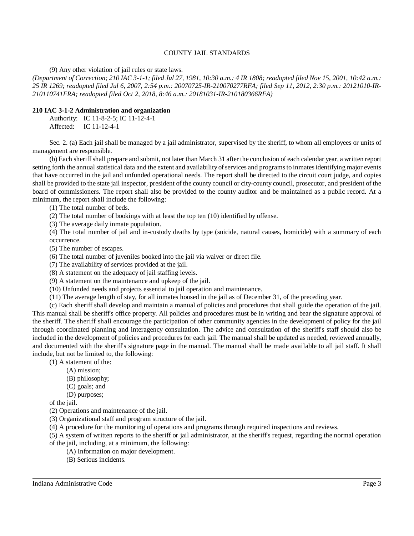(9) Any other violation of jail rules or state laws.

(Department of Correction; 210 IAC 3-1-1; filed Jul 27, 1981, 10:30 a.m.: 4 IR 1808; readopted filed Nov 15, 2001, 10:42 a.m.: *25 IR 1269; readopted filed Jul 6, 2007, 2:54 p.m.: 20070725-IR-210070277RFA; filed Sep 11, 2012, 2:30 p.m.: 20121010-IR-210110741FRA; readopted filed Oct 2, 2018, 8:46 a.m.: 20181031-IR-210180366RFA)*

### **210 IAC 3-1-2 Administration and organization**

Authority: IC 11-8-2-5; IC 11-12-4-1 Affected: IC 11-12-4-1

Sec. 2. (a) Each jail shall be managed by a jail administrator, supervised by the sheriff, to whom all employees or units of management are responsible.

(b) Each sheriffshall prepare and submit, not later than March 31 after the conclusion of each calendar year, a written report setting forth the annual statistical data and the extent and availability of services and programs to inmates identifying major events that have occurred in the jail and unfunded operational needs. The report shall be directed to the circuit court judge, and copies shall be provided to the state jail inspector, president of the county council or city-county council, prosecutor, and president of the board of commissioners. The report shall also be provided to the county auditor and be maintained as a public record. At a minimum, the report shall include the following:

(1) The total number of beds.

(2) The total number of bookings with at least the top ten (10) identified by offense.

(3) The average daily inmate population.

(4) The total number of jail and in-custody deaths by type (suicide, natural causes, homicide) with a summary of each occurrence.

(5) The number of escapes.

(6) The total number of juveniles booked into the jail via waiver or direct file.

(7) The availability of services provided at the jail.

(8) A statement on the adequacy of jail staffing levels.

(9) A statement on the maintenance and upkeep of the jail.

(10) Unfunded needs and projects essential to jail operation and maintenance.

(11) The average length of stay, for all inmates housed in the jail as of December 31, of the preceding year.

(c) Each sheriff shall develop and maintain a manual of policies and procedures that shall guide the operation of the jail. This manual shall be sheriff's office property. All policies and procedures must be in writing and bear the signature approval of the sheriff. The sheriff shall encourage the participation of other community agencies in the development of policy for the jail through coordinated planning and interagency consultation. The advice and consultation of the sheriff's staff should also be included in the development of policies and procedures for each jail. The manual shall be updated as needed, reviewed annually, and documented with the sheriff's signature page in the manual. The manual shall be made available to all jail staff. It shall include, but not be limited to, the following:

(1) A statement of the:

- (A) mission;
	- (B) philosophy;
	- (C) goals; and
- (D) purposes;

of the jail.

(2) Operations and maintenance of the jail.

(3) Organizational staff and program structure of the jail.

(4) A procedure for the monitoring of operations and programs through required inspections and reviews.

(5) A system of written reports to the sheriff or jail administrator, at the sheriff's request, regarding the normal operation of the jail, including, at a minimum, the following:

- (A) Information on major development.
- (B) Serious incidents.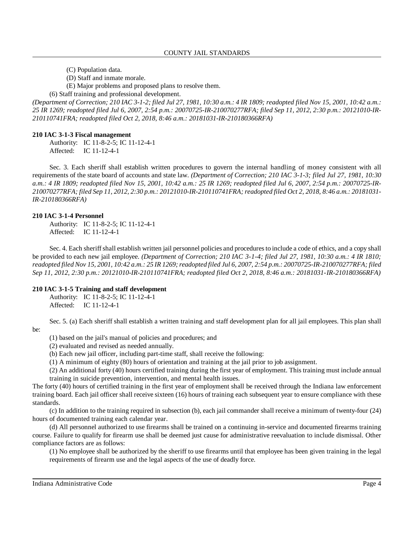- (C) Population data.
- (D) Staff and inmate morale.
- (E) Major problems and proposed plans to resolve them.

(6) Staff training and professional development.

(Department of Correction; 210 IAC 3-1-2; filed Jul 27, 1981, 10:30 a.m.: 4 IR 1809; readopted filed Nov 15, 2001, 10:42 a.m.: *25 IR 1269; readopted filed Jul 6, 2007, 2:54 p.m.: 20070725-IR-210070277RFA; filed Sep 11, 2012, 2:30 p.m.: 20121010-IR-210110741FRA; readopted filed Oct 2, 2018, 8:46 a.m.: 20181031-IR-210180366RFA)*

#### **210 IAC 3-1-3 Fiscal management**

Authority: IC 11-8-2-5; IC 11-12-4-1 Affected: IC 11-12-4-1

Sec. 3. Each sheriff shall establish written procedures to govern the internal handling of money consistent with all requirements of the state board of accounts and state law. *(Department of Correction; 210 IAC 3-1-3; filed Jul 27, 1981, 10:30* a.m.: 4 IR 1809; readopted filed Nov 15, 2001, 10:42 a.m.: 25 IR 1269; readopted filed Jul 6, 2007, 2:54 p.m.: 20070725-IR-210070277RFA; filed Sep 11, 2012, 2:30 p.m.: 20121010-IR-210110741FRA; readopted filed Oct 2, 2018, 8:46 a.m.: 20181031-*IR-210180366RFA)*

#### **210 IAC 3-1-4 Personnel**

Authority: IC 11-8-2-5; IC 11-12-4-1 Affected: IC 11-12-4-1

Sec. 4. Each sheriffshall establish written jail personnel policies and proceduresto include a code of ethics, and a copy shall be provided to each new jail employee. *(Department of Correction; 210 IAC 3-1-4; filed Jul 27, 1981, 10:30 a.m.: 4 IR 1810;* readopted filed Nov 15, 2001, 10:42 a.m.: 25 IR 1269; readopted filed Jul 6, 2007, 2:54 p.m.: 20070725-IR-210070277RFA; filed *Sep 11, 2012, 2:30 p.m.: 20121010-IR-210110741FRA; readopted filed Oct 2, 2018, 8:46 a.m.: 20181031-IR-210180366RFA)*

#### **210 IAC 3-1-5 Training and staff development**

Authority: IC 11-8-2-5; IC 11-12-4-1 Affected: IC 11-12-4-1

Sec. 5. (a) Each sheriff shall establish a written training and staff development plan for all jail employees. This plan shall be:

(1) based on the jail's manual of policies and procedures; and

(2) evaluated and revised as needed annually.

(b) Each new jail officer, including part-time staff, shall receive the following:

(1) A minimum of eighty (80) hours of orientation and training at the jail prior to job assignment.

(2) An additional forty (40) hours certified training during the first year of employment. This training must include annual training in suicide prevention, intervention, and mental health issues.

The forty (40) hours of certified training in the first year of employment shall be received through the Indiana law enforcement training board. Each jail officer shall receive sixteen (16) hours of training each subsequent year to ensure compliance with these standards.

(c) In addition to the training required in subsection (b), each jail commander shall receive a minimum of twenty-four (24) hours of documented training each calendar year.

(d) All personnel authorized to use firearms shall be trained on a continuing in-service and documented firearms training course. Failure to qualify for firearm use shall be deemed just cause for administrative reevaluation to include dismissal. Other compliance factors are as follows:

(1) No employee shall be authorized by the sheriff to use firearms until that employee has been given training in the legal requirements of firearm use and the legal aspects of the use of deadly force.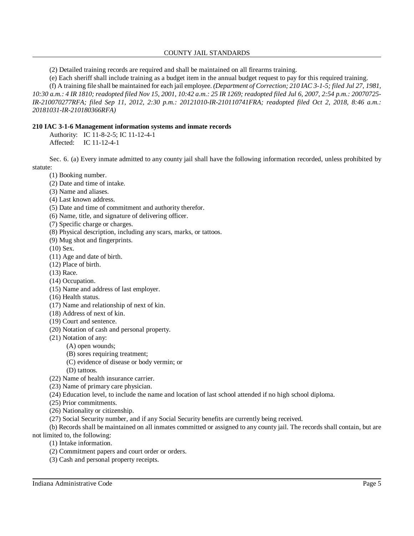### COUNTY JAIL STANDARDS

(2) Detailed training records are required and shall be maintained on all firearms training.

(e) Each sheriff shall include training as a budget item in the annual budget request to pay for this required training.

(f) A training file shall be maintained for each jail employee. *(Department of Correction; 210 IAC 3-1-5; filed Jul 27, 1981,* 10:30 a.m.: 4 IR 1810; readopted filed Nov 15, 2001, 10:42 a.m.: 25 IR 1269; readopted filed Jul 6, 2007, 2:54 p.m.: 20070725-*IR-210070277RFA; filed Sep 11, 2012, 2:30 p.m.: 20121010-IR-210110741FRA; readopted filed Oct 2, 2018, 8:46 a.m.: 20181031-IR-210180366RFA)*

### **210 IAC 3-1-6 Management information systems and inmate records**

Authority: IC 11-8-2-5; IC 11-12-4-1 Affected: IC 11-12-4-1

Sec. 6. (a) Every inmate admitted to any county jail shall have the following information recorded, unless prohibited by statute:

- (1) Booking number.
- (2) Date and time of intake.
- (3) Name and aliases.
- (4) Last known address.
- (5) Date and time of commitment and authority therefor.
- (6) Name, title, and signature of delivering officer.
- (7) Specific charge or charges.
- (8) Physical description, including any scars, marks, or tattoos.
- (9) Mug shot and fingerprints.
- (10) Sex.
- (11) Age and date of birth.
- (12) Place of birth.
- (13) Race.
- (14) Occupation.
- (15) Name and address of last employer.
- (16) Health status.
- (17) Name and relationship of next of kin.
- (18) Address of next of kin.
- (19) Court and sentence.
- (20) Notation of cash and personal property.
- (21) Notation of any:
	- (A) open wounds;
		- (B) sores requiring treatment;
		- (C) evidence of disease or body vermin; or
		- (D) tattoos.
- (22) Name of health insurance carrier.
- (23) Name of primary care physician.
- (24) Education level, to include the name and location of last school attended if no high school diploma.
- (25) Prior commitments.
- (26) Nationality or citizenship.
- (27) Social Security number, and if any Social Security benefits are currently being received.

(b) Records shall be maintained on all inmates committed or assigned to any county jail. The records shall contain, but are not limited to, the following:

- (1) Intake information.
- (2) Commitment papers and court order or orders.
- (3) Cash and personal property receipts.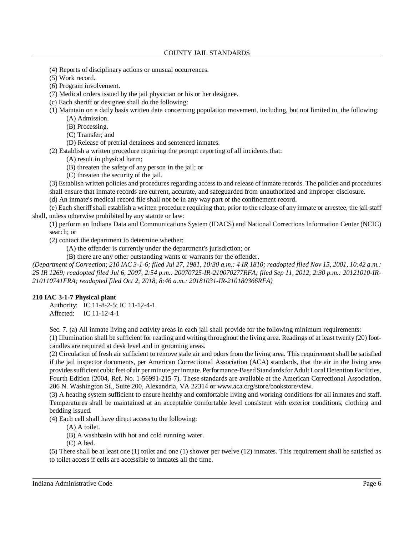(4) Reports of disciplinary actions or unusual occurrences.

(5) Work record.

(6) Program involvement.

(7) Medical orders issued by the jail physician or his or her designee.

(c) Each sheriff or designee shall do the following:

(1) Maintain on a daily basis written data concerning population movement, including, but not limited to, the following: (A) Admission.

(B) Processing.

(C) Transfer; and

(D) Release of pretrial detainees and sentenced inmates.

(2) Establish a written procedure requiring the prompt reporting of all incidents that:

(A) result in physical harm;

(B) threaten the safety of any person in the jail; or

(C) threaten the security of the jail.

(3) Establish written policies and procedures regarding access to and release of inmate records. The policies and procedures shall ensure that inmate records are current, accurate, and safeguarded from unauthorized and improper disclosure.

(d) An inmate's medical record file shall not be in any way part of the confinement record.

(e) Each sheriffshall establish a written procedure requiring that, prior to the release of any inmate or arrestee, the jail staff shall, unless otherwise prohibited by any statute or law:

(1) perform an Indiana Data and Communications System (IDACS) and National Corrections Information Center (NCIC) search; or

(2) contact the department to determine whether:

(A) the offender is currently under the department's jurisdiction; or

(B) there are any other outstanding wants or warrants for the offender.

(Department of Correction; 210 IAC 3-1-6; filed Jul 27, 1981, 10:30 a.m.: 4 IR 1810; readopted filed Nov 15, 2001, 10:42 a.m.: *25 IR 1269; readopted filed Jul 6, 2007, 2:54 p.m.: 20070725-IR-210070277RFA; filed Sep 11, 2012, 2:30 p.m.: 20121010-IR-210110741FRA; readopted filed Oct 2, 2018, 8:46 a.m.: 20181031-IR-210180366RFA)*

## **210 IAC 3-1-7 Physical plant**

Authority: IC 11-8-2-5; IC 11-12-4-1 Affected: IC 11-12-4-1

Sec. 7. (a) All inmate living and activity areas in each jail shall provide for the following minimum requirements:

(1) Illumination shall be sufficient for reading and writing throughout the living area. Readings of at least twenty (20) footcandles are required at desk level and in grooming areas.

(2) Circulation of fresh air sufficient to remove stale air and odors from the living area. This requirement shall be satisfied if the jail inspector documents, per American Correctional Association (ACA) standards, that the air in the living area providessufficient cubic feet of air per minute per inmate. Performance-Based Standardsfor Adult Local Detention Facilities, Fourth Edition (2004, Ref. No. 1-56991-215-7). These standards are available at the American Correctional Association, 206 N. Washington St., Suite 200, Alexandria, VA 22314 or www.aca.org/store/bookstore/view.

(3) A heating system sufficient to ensure healthy and comfortable living and working conditions for all inmates and staff. Temperatures shall be maintained at an acceptable comfortable level consistent with exterior conditions, clothing and bedding issued.

(4) Each cell shall have direct access to the following:

(A) A toilet.

(B) A washbasin with hot and cold running water.

(C) A bed.

(5) There shall be at least one (1) toilet and one (1) shower per twelve (12) inmates. This requirement shall be satisfied as to toilet access if cells are accessible to inmates all the time.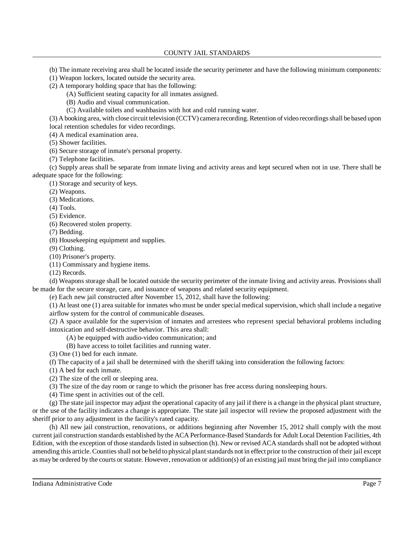(b) The inmate receiving area shall be located inside the security perimeter and have the following minimum components:

- (1) Weapon lockers, located outside the security area.
- (2) A temporary holding space that has the following:
	- (A) Sufficient seating capacity for all inmates assigned.
	- (B) Audio and visual communication.
	- (C) Available toilets and washbasins with hot and cold running water.

(3) A booking area, with close circuit television (CCTV) camera recording. Retention of video recordings shall be based upon local retention schedules for video recordings.

(4) A medical examination area.

(5) Shower facilities.

(6) Secure storage of inmate's personal property.

(7) Telephone facilities.

(c) Supply areas shall be separate from inmate living and activity areas and kept secured when not in use. There shall be adequate space for the following:

(1) Storage and security of keys.

(2) Weapons.

(3) Medications.

(4) Tools.

(5) Evidence.

(6) Recovered stolen property.

(7) Bedding.

(8) Housekeeping equipment and supplies.

(9) Clothing.

(10) Prisoner's property.

(11) Commissary and hygiene items.

(12) Records.

(d) Weapons storage shall be located outside the security perimeter of the inmate living and activity areas. Provisions shall be made for the secure storage, care, and issuance of weapons and related security equipment.

(e) Each new jail constructed after November 15, 2012, shall have the following:

(1) At least one (1) area suitable for inmates who must be under special medical supervision, which shall include a negative airflow system for the control of communicable diseases.

(2) A space available for the supervision of inmates and arrestees who represent special behavioral problems including intoxication and self-destructive behavior. This area shall:

(A) be equipped with audio-video communication; and

(B) have access to toilet facilities and running water.

(3) One (1) bed for each inmate.

(f) The capacity of a jail shall be determined with the sheriff taking into consideration the following factors:

(1) A bed for each inmate.

(2) The size of the cell or sleeping area.

(3) The size of the day room or range to which the prisoner has free access during nonsleeping hours.

(4) Time spent in activities out of the cell.

(g) The state jail inspector may adjust the operational capacity of any jail if there is a change in the physical plant structure, or the use of the facility indicates a change is appropriate. The state jail inspector will review the proposed adjustment with the sheriff prior to any adjustment in the facility's rated capacity.

(h) All new jail construction, renovations, or additions beginning after November 15, 2012 shall comply with the most current jail construction standards established by the ACA Performance-Based Standardsfor Adult Local Detention Facilities, 4th Edition, with the exception of those standards listed in subsection (h). New or revised ACA standards shall not be adopted without amending this article. Counties shall not be held to physical plant standards not in effect prior to the construction of their jail except as may be ordered by the courts orstatute. However, renovation or addition(s) of an existing jail must bring the jail into compliance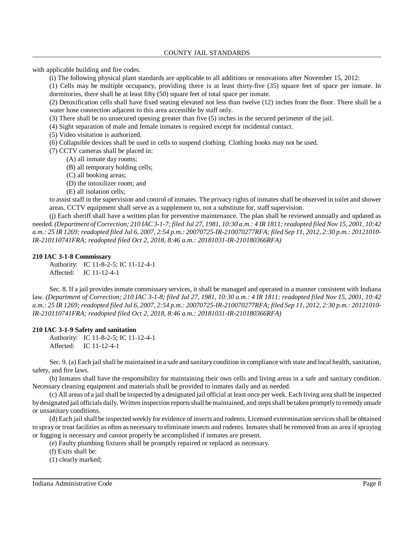with applicable building and fire codes.

(i) The following physical plant standards are applicable to all additions or renovations after November 15, 2012:

(1) Cells may be multiple occupancy, providing there is at least thirty-five (35) square feet of space per inmate. In dormitories, there shall be at least fifty (50) square feet of total space per inmate.

(2) Detoxification cells shall have fixed seating elevated not less than twelve (12) inches from the floor. There shall be a water hose connection adjacent to this area accessible by staff only.

(3) There shall be no unsecured opening greater than five (5) inches in the secured perimeter of the jail.

(4) Sight separation of male and female inmates is required except for incidental contact.

- (5) Video visitation is authorized.
- (6) Collapsible devices shall be used in cells to suspend clothing. Clothing hooks may not be used.
- (7) CCTV cameras shall be placed in:
	- (A) all inmate day rooms;
	- (B) all temporary holding cells;
	- (C) all booking areas;
	- (D) the intoxilizer room; and
	- (E) all isolation cells;

to assist staff in the supervision and control of inmates. The privacy rights of inmates shall be observed in toilet and shower areas. CCTV equipment shall serve as a supplement to, not a substitute for, staff supervision.

(j) Each sheriff shall have a written plan for preventive maintenance. The plan shall be reviewed annually and updated as needed. (Department of Correction; 210 IAC 3-1-7; filed Jul 27, 1981, 10:30 a.m.: 4 IR 1811; readopted filed Nov 15, 2001, 10:42 a.m.: 25 IR 1269; readopted filed Jul 6, 2007, 2:54 p.m.: 20070725-IR-210070277RFA; filed Sep 11, 2012, 2:30 p.m.: 20121010-*IR-210110741FRA; readopted filed Oct 2, 2018, 8:46 a.m.: 20181031-IR-210180366RFA)*

#### **210 IAC 3-1-8 Commissary**

Authority: IC 11-8-2-5; IC 11-12-4-1 Affected: IC 11-12-4-1

Sec. 8. If a jail provides inmate commissary services, it shall be managed and operated in a manner consistent with Indiana law. (Department of Correction; 210 IAC 3-1-8; filed Jul 27, 1981, 10:30 a.m.: 4 IR 1811; readopted filed Nov 15, 2001, 10:42 a.m.: 25 IR 1269; readopted filed Jul 6, 2007, 2:54 p.m.: 20070725-IR-210070277RFA; filed Sep 11, 2012, 2:30 p.m.: 20121010-*IR-210110741FRA; readopted filed Oct 2, 2018, 8:46 a.m.: 20181031-IR-210180366RFA)*

#### **210 IAC 3-1-9 Safety and sanitation**

Authority: IC 11-8-2-5; IC 11-12-4-1 Affected: IC 11-12-4-1

Sec. 9. (a) Each jail shall be maintained in a safe and sanitarycondition in compliance with state and local health, sanitation, safety, and fire laws.

(b) Inmates shall have the responsibility for maintaining their own cells and living areas in a safe and sanitary condition. Necessary cleaning equipment and materials shall be provided to inmates daily and as needed.

(c) All areas of a jail shall be inspected by a designated jail official at least once per week. Each living area shall be inspected bydesignated jail officials daily. Written inspection reportsshall bemaintained, and stepsshall be taken promptlyto remedyunsafe or unsanitary conditions.

(d) Each jail shall be inspected weekly for evidence of insects and rodents. Licensed extermination servicesshall be obtained to spray or treat facilities as often as necessary to eliminate insects and rodents. Inmates shall be removed from an area ifspraying or fogging is necessary and cannot properly be accomplished if inmates are present.

(e) Faulty plumbing fixtures shall be promptly repaired or replaced as necessary.

(f) Exits shall be:

(1) clearly marked;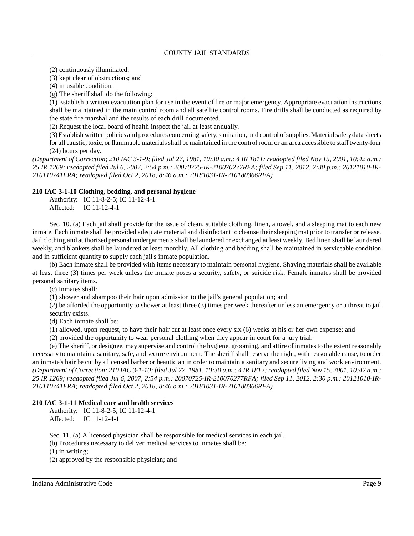(2) continuously illuminated;

(3) kept clear of obstructions; and

(4) in usable condition.

(g) The sheriff shall do the following:

(1) Establish a written evacuation plan for use in the event of fire or major emergency. Appropriate evacuation instructions shall be maintained in the main control room and all satellite control rooms. Fire drills shall be conducted as required by the state fire marshal and the results of each drill documented.

(2) Request the local board of health inspect the jail at least annually.

(3)Establish written policies and procedures concerning safety,sanitation, and control ofsupplies. Materialsafetydata sheets for all caustic, toxic, or flammable materials shall be maintained in the control room or an area accessible to staff twenty-four (24) hours per day.

(Department of Correction; 210 IAC 3-1-9; filed Jul 27, 1981, 10:30 a.m.: 4 IR 1811; readopted filed Nov 15, 2001, 10:42 a.m.: *25 IR 1269; readopted filed Jul 6, 2007, 2:54 p.m.: 20070725-IR-210070277RFA; filed Sep 11, 2012, 2:30 p.m.: 20121010-IR-210110741FRA; readopted filed Oct 2, 2018, 8:46 a.m.: 20181031-IR-210180366RFA)*

#### **210 IAC 3-1-10 Clothing, bedding, and personal hygiene**

Authority: IC 11-8-2-5; IC 11-12-4-1 Affected: IC 11-12-4-1

Sec. 10. (a) Each jail shall provide for the issue of clean, suitable clothing, linen, a towel, and a sleeping mat to each new inmate. Each inmate shall be provided adequate material and disinfectant to cleanse their sleeping mat prior to transfer or release. Jail clothing and authorized personal undergarmentsshall be laundered or exchanged at least weekly. Bed linen shall be laundered weekly, and blankets shall be laundered at least monthly. All clothing and bedding shall be maintained in serviceable condition and in sufficient quantity to supply each jail's inmate population.

(b) Each inmate shall be provided with items necessary to maintain personal hygiene. Shaving materials shall be available at least three (3) times per week unless the inmate poses a security, safety, or suicide risk. Female inmates shall be provided personal sanitary items.

(c) Inmates shall:

(1) shower and shampoo their hair upon admission to the jail's general population; and

(2) be afforded the opportunity to shower at least three (3) times per week thereafter unless an emergency or a threat to jail security exists.

(d) Each inmate shall be:

(1) allowed, upon request, to have their hair cut at least once every six (6) weeks at his or her own expense; and

(2) provided the opportunity to wear personal clothing when they appear in court for a jury trial.

(e) The sheriff, or designee, may supervise and control the hygiene, grooming, and attire of inmatesto the extent reasonably necessary to maintain a sanitary, safe, and secure environment. The sheriffshall reserve the right, with reasonable cause, to order an inmate's hair be cut by a licensed barber or beautician in order to maintain a sanitary and secure living and work environment. (Department of Correction; 210 IAC 3-1-10; filed Jul 27, 1981, 10:30 a.m.: 4 IR 1812; readopted filed Nov 15, 2001, 10:42 a.m.: *25 IR 1269; readopted filed Jul 6, 2007, 2:54 p.m.: 20070725-IR-210070277RFA; filed Sep 11, 2012, 2:30 p.m.: 20121010-IR-210110741FRA; readopted filed Oct 2, 2018, 8:46 a.m.: 20181031-IR-210180366RFA)*

### **210 IAC 3-1-11 Medical care and health services**

Authority: IC 11-8-2-5; IC 11-12-4-1 Affected: IC 11-12-4-1

Sec. 11. (a) A licensed physician shall be responsible for medical services in each jail.

(b) Procedures necessary to deliver medical services to inmates shall be:

(1) in writing;

(2) approved by the responsible physician; and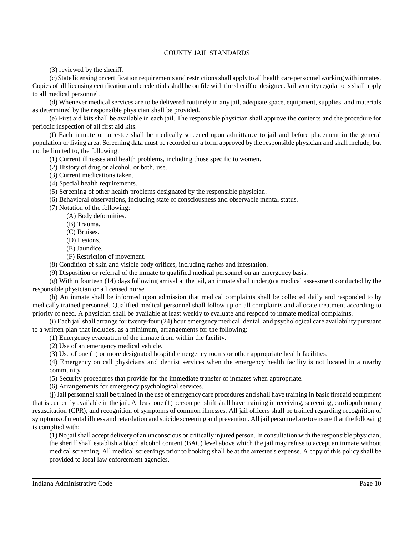(3) reviewed by the sheriff.

(c) State licensing or certification requirements and restrictionsshall applyto all health care personnel working with inmates. Copies of all licensing certification and credentialsshall be on file with the sheriff or designee. Jail security regulationsshall apply to all medical personnel.

(d) Whenever medical services are to be delivered routinely in any jail, adequate space, equipment, supplies, and materials as determined by the responsible physician shall be provided.

(e) First aid kits shall be available in each jail. The responsible physician shall approve the contents and the procedure for periodic inspection of all first aid kits.

(f) Each inmate or arrestee shall be medically screened upon admittance to jail and before placement in the general population or living area. Screening data must be recorded on a form approved by the responsible physician and shall include, but not be limited to, the following:

(1) Current illnesses and health problems, including those specific to women.

(2) History of drug or alcohol, or both, use.

(3) Current medications taken.

(4) Special health requirements.

(5) Screening of other health problems designated by the responsible physician.

(6) Behavioral observations, including state of consciousness and observable mental status.

(7) Notation of the following:

(A) Body deformities.

(B) Trauma.

(C) Bruises.

(D) Lesions.

(E) Jaundice.

(F) Restriction of movement.

(8) Condition of skin and visible body orifices, including rashes and infestation.

(9) Disposition or referral of the inmate to qualified medical personnel on an emergency basis.

(g) Within fourteen (14) days following arrival at the jail, an inmate shall undergo a medical assessment conducted by the responsible physician or a licensed nurse.

(h) An inmate shall be informed upon admission that medical complaints shall be collected daily and responded to by medically trained personnel. Qualified medical personnel shall follow up on all complaints and allocate treatment according to priority of need. A physician shall be available at least weekly to evaluate and respond to inmate medical complaints.

(i) Each jail shall arrange for twenty-four (24) hour emergencymedical, dental, and psychological care availability pursuant to a written plan that includes, as a minimum, arrangements for the following:

(1) Emergency evacuation of the inmate from within the facility.

(2) Use of an emergency medical vehicle.

(3) Use of one (1) or more designated hospital emergency rooms or other appropriate health facilities.

(4) Emergency on call physicians and dentist services when the emergency health facility is not located in a nearby community.

(5) Security procedures that provide for the immediate transfer of inmates when appropriate.

(6) Arrangements for emergency psychological services.

(j)Jail personnelshall be trained in the use of emergency care procedures and shall have training in basic first aid equipment that is currently available in the jail. At least one (1) person per shift shall have training in receiving, screening, cardiopulmonary resuscitation (CPR), and recognition of symptoms of common illnesses. All jail officers shall be trained regarding recognition of symptoms ofmental illness and retardation and suicide screening and prevention. All jail personnel are to ensure that the following is complied with:

(1) No jailshall accept deliveryof an unconscious or critically injured person. In consultation with the responsible physician, the sheriff shall establish a blood alcohol content (BAC) level above which the jail may refuse to accept an inmate without medical screening. All medical screenings prior to booking shall be at the arrestee's expense. A copy of this policy shall be provided to local law enforcement agencies.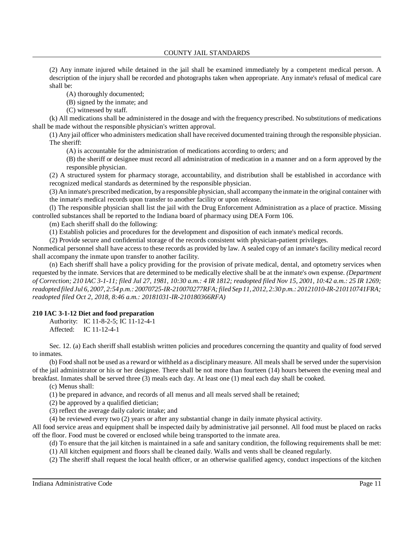COUNTY JAIL STANDARDS

(2) Any inmate injured while detained in the jail shall be examined immediately by a competent medical person. A description of the injury shall be recorded and photographs taken when appropriate. Any inmate's refusal of medical care shall be:

(A) thoroughly documented;

(B) signed by the inmate; and

(C) witnessed by staff.

(k) All medications shall be administered in the dosage and with the frequency prescribed. No substitutions of medications shall be made without the responsible physician's written approval.

(1) Any jail officer who administers medication shall have received documented training through the responsible physician. The sheriff:

(A) is accountable for the administration of medications according to orders; and

(B) the sheriff or designee must record all administration of medication in a manner and on a form approved by the responsible physician.

(2) A structured system for pharmacy storage, accountability, and distribution shall be established in accordance with recognized medical standards as determined by the responsible physician.

(3) An inmate's prescribed medication, by a responsible physician, shall accompany the inmate in the original container with the inmate's medical records upon transfer to another facility or upon release.

(l) The responsible physician shall list the jail with the Drug Enforcement Administration as a place of practice. Missing controlled substances shall be reported to the Indiana board of pharmacy using DEA Form 106.

(m) Each sheriff shall do the following:

(1) Establish policies and procedures for the development and disposition of each inmate's medical records.

(2) Provide secure and confidential storage of the records consistent with physician-patient privileges.

Nonmedical personnel shall have access to these records as provided by law. A sealed copy of an inmate's facility medical record shall accompany the inmate upon transfer to another facility.

(n) Each sheriff shall have a policy providing for the provision of private medical, dental, and optometry services when requested by the inmate. Services that are determined to be medically elective shall be at the inmate's own expense. *(Department* of Correction; 210 IAC 3-1-11; filed Jul 27, 1981, 10:30 a.m.: 4 IR 1812; readopted filed Nov 15, 2001, 10:42 a.m.: 25 IR 1269; *readopted filed Jul 6, 2007, 2:54 p.m.: 20070725-IR-210070277RFA; filed Sep 11, 2012, 2:30 p.m.: 20121010-IR-210110741FRA; readopted filed Oct 2, 2018, 8:46 a.m.: 20181031-IR-210180366RFA)*

### **210 IAC 3-1-12 Diet and food preparation**

Authority: IC 11-8-2-5; IC 11-12-4-1 Affected: IC 11-12-4-1

Sec. 12. (a) Each sheriff shall establish written policies and procedures concerning the quantity and quality of food served to inmates.

(b) Food shall not be used as a reward or withheld as a disciplinarymeasure. All meals shall be served under the supervision of the jail administrator or his or her designee. There shall be not more than fourteen (14) hours between the evening meal and breakfast. Inmates shall be served three (3) meals each day. At least one (1) meal each day shall be cooked.

(c) Menus shall:

(1) be prepared in advance, and records of all menus and all meals served shall be retained;

(2) be approved by a qualified dietician;

(3) reflect the average daily caloric intake; and

(4) be reviewed every two (2) years or after any substantial change in daily inmate physical activity.

All food service areas and equipment shall be inspected daily by administrative jail personnel. All food must be placed on racks off the floor. Food must be covered or enclosed while being transported to the inmate area.

(d) To ensure that the jail kitchen is maintained in a safe and sanitary condition, the following requirements shall be met: (1) All kitchen equipment and floors shall be cleaned daily. Walls and vents shall be cleaned regularly.

(2) The sheriff shall request the local health officer, or an otherwise qualified agency, conduct inspections of the kitchen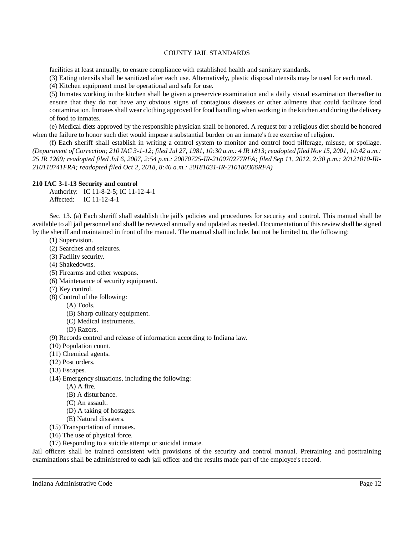facilities at least annually, to ensure compliance with established health and sanitary standards.

(3) Eating utensils shall be sanitized after each use. Alternatively, plastic disposal utensils may be used for each meal.

(4) Kitchen equipment must be operational and safe for use.

(5) Inmates working in the kitchen shall be given a preservice examination and a daily visual examination thereafter to ensure that they do not have any obvious signs of contagious diseases or other ailments that could facilitate food contamination. Inmates shall wear clothing approved for food handling when working in the kitchen and during the delivery of food to inmates.

(e) Medical diets approved by the responsible physician shall be honored. A request for a religious diet should be honored when the failure to honor such diet would impose a substantial burden on an inmate's free exercise of religion.

(f) Each sheriff shall establish in writing a control system to monitor and control food pilferage, misuse, or spoilage. (Department of Correction; 210 IAC 3-1-12; filed Jul 27, 1981, 10:30 a.m.: 4 IR 1813; readopted filed Nov 15, 2001, 10:42 a.m.: *25 IR 1269; readopted filed Jul 6, 2007, 2:54 p.m.: 20070725-IR-210070277RFA; filed Sep 11, 2012, 2:30 p.m.: 20121010-IR-210110741FRA; readopted filed Oct 2, 2018, 8:46 a.m.: 20181031-IR-210180366RFA)*

#### **210 IAC 3-1-13 Security and control**

Authority: IC 11-8-2-5; IC 11-12-4-1 Affected: IC 11-12-4-1

Sec. 13. (a) Each sheriff shall establish the jail's policies and procedures for security and control. This manual shall be available to all jail personnel and shall be reviewed annually and updated as needed. Documentation of thisreview shall be signed by the sheriff and maintained in front of the manual. The manual shall include, but not be limited to, the following:

- (1) Supervision.
- (2) Searches and seizures.
- (3) Facility security.
- (4) Shakedowns.
- (5) Firearms and other weapons.
- (6) Maintenance of security equipment.
- (7) Key control.
- (8) Control of the following:
	- (A) Tools.
	- (B) Sharp culinary equipment.
	- (C) Medical instruments.
	- (D) Razors.

(9) Records control and release of information according to Indiana law.

- (10) Population count.
- (11) Chemical agents.
- (12) Post orders.
- (13) Escapes.
- (14) Emergency situations, including the following:
	- (A) A fire.
		- (B) A disturbance.
		- (C) An assault.
	- (D) A taking of hostages.
	- (E) Natural disasters.
- (15) Transportation of inmates.
- (16) The use of physical force.
- (17) Responding to a suicide attempt or suicidal inmate.

Jail officers shall be trained consistent with provisions of the security and control manual. Pretraining and posttraining examinations shall be administered to each jail officer and the results made part of the employee's record.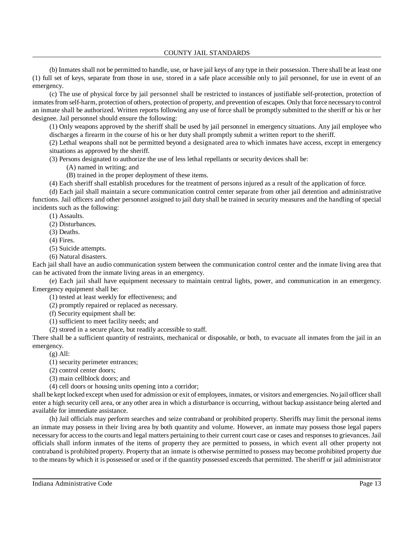(b) Inmates shall not be permitted to handle, use, or have jail keys of any type in their possession. There shall be at least one (1) full set of keys, separate from those in use, stored in a safe place accessible only to jail personnel, for use in event of an emergency.

(c) The use of physical force by jail personnel shall be restricted to instances of justifiable self-protection, protection of inmatesfrom self-harm, protection of others, protection of property, and prevention of escapes. Only that force necessaryto control an inmate shall be authorized. Written reports following any use of force shall be promptly submitted to the sheriff or his or her designee. Jail personnel should ensure the following:

(1) Only weapons approved by the sheriff shall be used by jail personnel in emergency situations. Any jail employee who discharges a firearm in the course of his or her duty shall promptly submit a written report to the sheriff.

(2) Lethal weapons shall not be permitted beyond a designated area to which inmates have access, except in emergency situations as approved by the sheriff.

(3) Persons designated to authorize the use of less lethal repellants or security devices shall be:

- (A) named in writing; and
- (B) trained in the proper deployment of these items.

(4) Each sheriff shall establish procedures for the treatment of persons injured as a result of the application of force.

(d) Each jail shall maintain a secure communication control center separate from other jail detention and administrative functions. Jail officers and other personnel assigned to jail duty shall be trained in security measures and the handling of special incidents such as the following:

(1) Assaults.

(2) Disturbances.

(3) Deaths.

(4) Fires.

(5) Suicide attempts.

(6) Natural disasters.

Each jail shall have an audio communication system between the communication control center and the inmate living area that can be activated from the inmate living areas in an emergency.

(e) Each jail shall have equipment necessary to maintain central lights, power, and communication in an emergency. Emergency equipment shall be:

(1) tested at least weekly for effectiveness; and

(2) promptly repaired or replaced as necessary.

(f) Security equipment shall be:

(1) sufficient to meet facility needs; and

(2) stored in a secure place, but readily accessible to staff.

There shall be a sufficient quantity of restraints, mechanical or disposable, or both, to evacuate all inmates from the jail in an emergency.

 $(g)$  All:

(1) security perimeter entrances;

(2) control center doors;

(3) main cellblock doors; and

(4) cell doors or housing units opening into a corridor;

shall be kept locked except when used for admission or exit of employees, inmates, or visitors and emergencies. No jail officer shall enter a high security cell area, or any other area in which a disturbance is occurring, without backup assistance being alerted and available for immediate assistance.

(h) Jail officials may perform searches and seize contraband or prohibited property. Sheriffs may limit the personal items an inmate may possess in their living area by both quantity and volume. However, an inmate may possess those legal papers necessary for access to the courts and legal matters pertaining to their current court case or cases and responses to grievances. Jail officials shall inform inmates of the items of property they are permitted to possess, in which event all other property not contraband is prohibited property. Property that an inmate is otherwise permitted to possess may become prohibited property due to the means by which it is possessed or used or if the quantity possessed exceeds that permitted. The sheriff or jail administrator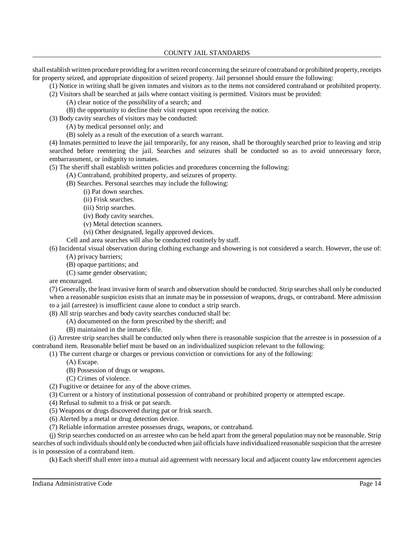shall establish written procedure providing for a written record concerning the seizure of contraband or prohibited property,receipts for property seized, and appropriate disposition of seized property. Jail personnel should ensure the following:

(1) Notice in writing shall be given inmates and visitors as to the items not considered contraband or prohibited property.

- (2) Visitors shall be searched at jails where contact visiting is permitted. Visitors must be provided:
	- (A) clear notice of the possibility of a search; and
	- (B) the opportunity to decline their visit request upon receiving the notice.
- (3) Body cavity searches of visitors may be conducted:
	- (A) by medical personnel only; and
	- (B) solely as a result of the execution of a search warrant.

(4) Inmates permitted to leave the jail temporarily, for any reason, shall be thoroughly searched prior to leaving and strip searched before reentering the jail. Searches and seizures shall be conducted so as to avoid unnecessary force, embarrassment, or indignity to inmates.

- (5) The sheriff shall establish written policies and procedures concerning the following:
	- (A) Contraband, prohibited property, and seizures of property.
	- (B) Searches. Personal searches may include the following:
		- (i) Pat down searches.
		- (ii) Frisk searches.
		- (iii) Strip searches.
		- (iv) Body cavity searches.
		- (v) Metal detection scanners.
		- (vi) Other designated, legally approved devices.
	- Cell and area searches will also be conducted routinely by staff.

(6) Incidental visual observation during clothing exchange and showering is not considered a search. However, the use of:

- (A) privacy barriers;
- (B) opaque partitions; and
- (C) same gender observation;

are encouraged.

(7) Generally, the least invasive form of search and observation should be conducted. Strip searches shall only be conducted when a reasonable suspicion exists that an inmate may be in possession of weapons, drugs, or contraband. Mere admission to a jail (arrestee) is insufficient cause alone to conduct a strip search.

(8) All strip searches and body cavity searches conducted shall be:

- (A) documented on the form prescribed by the sheriff; and
	- (B) maintained in the inmate's file.

(i) Arrestee strip searches shall be conducted only when there is reasonable suspicion that the arrestee is in possession of a contraband item. Reasonable belief must be based on an individualized suspicion relevant to the following:

(1) The current charge or charges or previous conviction or convictions for any of the following:

- (A) Escape.
- (B) Possession of drugs or weapons.
- (C) Crimes of violence.
- (2) Fugitive or detainee for any of the above crimes.
- (3) Current or a history of institutional possession of contraband or prohibited property or attempted escape.
- (4) Refusal to submit to a frisk or pat search.
- (5) Weapons or drugs discovered during pat or frisk search.
- (6) Alerted by a metal or drug detection device.
- (7) Reliable information arrestee possesses drugs, weapons, or contraband.

(j) Strip searches conducted on an arrestee who can be held apart from the general population may not be reasonable. Strip searches of such individuals should only be conducted when jail officials have individualized reasonable suspicion that the arrestee is in possession of a contraband item.

(k) Each sheriffshall enter into a mutual aid agreement with necessary local and adjacent county law enforcement agencies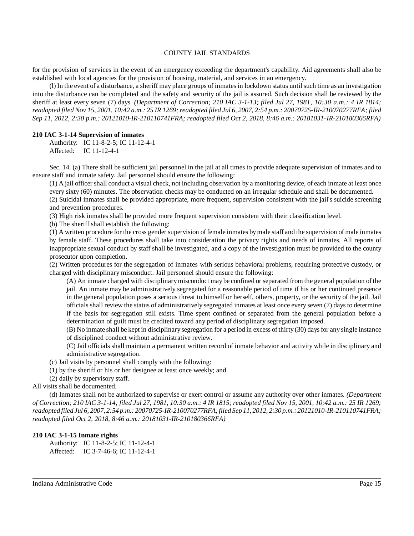for the provision of services in the event of an emergency exceeding the department's capability. Aid agreements shall also be established with local agencies for the provision of housing, material, and services in an emergency.

(l) In the event of a disturbance, a sheriff may place groups of inmates in lockdown status until such time as an investigation into the disturbance can be completed and the safety and security of the jail is assured. Such decision shall be reviewed by the sheriff at least every seven (7) days. *(Department of Correction; 210 IAC 3-1-13; filed Jul 27, 1981, 10:30 a.m.: 4 IR 1814;* readopted filed Nov 15, 2001, 10:42 a.m.: 25 IR 1269; readopted filed Jul 6, 2007, 2:54 p.m.: 20070725-IR-210070277RFA; filed *Sep 11, 2012, 2:30 p.m.: 20121010-IR-210110741FRA; readopted filed Oct 2, 2018, 8:46 a.m.: 20181031-IR-210180366RFA)*

#### **210 IAC 3-1-14 Supervision of inmates**

Authority: IC 11-8-2-5; IC 11-12-4-1 Affected: IC 11-12-4-1

Sec. 14. (a) There shall be sufficient jail personnel in the jail at all times to provide adequate supervision of inmates and to ensure staff and inmate safety. Jail personnel should ensure the following:

(1) A jail officer shall conduct a visual check, not including observation by a monitoring device, of each inmate at least once every sixty (60) minutes. The observation checks may be conducted on an irregular schedule and shall be documented.

(2) Suicidal inmates shall be provided appropriate, more frequent, supervision consistent with the jail's suicide screening and prevention procedures.

(3) High risk inmates shall be provided more frequent supervision consistent with their classification level.

(b) The sheriff shall establish the following:

(1) A written procedure for the cross gender supervision of female inmates bymale staff and the supervision of male inmates by female staff. These procedures shall take into consideration the privacy rights and needs of inmates. All reports of inappropriate sexual conduct by staff shall be investigated, and a copy of the investigation must be provided to the county prosecutor upon completion.

(2) Written procedures for the segregation of inmates with serious behavioral problems, requiring protective custody, or charged with disciplinary misconduct. Jail personnel should ensure the following:

(A) An inmate charged with disciplinarymisconduct may be confined or separated from the general population of the jail. An inmate may be administratively segregated for a reasonable period of time if his or her continued presence in the general population poses a serious threat to himself or herself, others, property, or the security of the jail. Jail officials shall review the status of administratively segregated inmates at least once every seven (7) days to determine if the basis for segregation still exists. Time spent confined or separated from the general population before a determination of guilt must be credited toward any period of disciplinary segregation imposed.

(B) No inmate shall be kept in disciplinary segregation for a period in excess of thirty (30) daysfor any single instance of disciplined conduct without administrative review.

(C) Jail officials shall maintain a permanent written record of inmate behavior and activity while in disciplinary and administrative segregation.

(c) Jail visits by personnel shall comply with the following:

(1) by the sheriff or his or her designee at least once weekly; and

(2) daily by supervisory staff.

All visits shall be documented.

(d) Inmates shall not be authorized to supervise or exert control or assume any authority over other inmates. *(Department* of Correction; 210 IAC 3-1-14; filed Jul 27, 1981, 10:30 a.m.: 4 IR 1815; readopted filed Nov 15, 2001, 10:42 a.m.: 25 IR 1269; *readopted filed Jul 6, 2007, 2:54 p.m.: 20070725-IR-210070277RFA; filed Sep 11, 2012, 2:30 p.m.: 20121010-IR-210110741FRA; readopted filed Oct 2, 2018, 8:46 a.m.: 20181031-IR-210180366RFA)*

### **210 IAC 3-1-15 Inmate rights**

Authority: IC 11-8-2-5; IC 11-12-4-1 Affected: IC 3-7-46-6; IC 11-12-4-1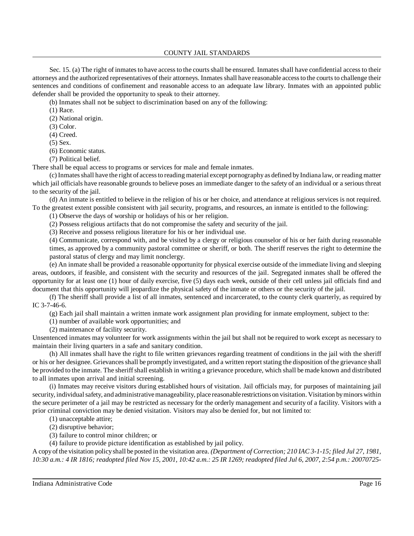COUNTY JAIL STANDARDS

Sec. 15. (a) The right of inmates to have access to the courts shall be ensured. Inmates shall have confidential access to their attorneys and the authorized representatives of their attorneys. Inmates shall have reasonable access to the courts to challenge their sentences and conditions of confinement and reasonable access to an adequate law library. Inmates with an appointed public defender shall be provided the opportunity to speak to their attorney.

(b) Inmates shall not be subject to discrimination based on any of the following:

(1) Race.

(2) National origin.

(3) Color.

(4) Creed.

(5) Sex.

(6) Economic status.

(7) Political belief.

There shall be equal access to programs or services for male and female inmates.

(c) Inmatesshall have the right of accessto reading material except pornographyas defined byIndiana law, or reading matter which jail officials have reasonable grounds to believe poses an immediate danger to the safety of an individual or a serious threat to the security of the jail.

(d) An inmate is entitled to believe in the religion of his or her choice, and attendance at religious services is not required. To the greatest extent possible consistent with jail security, programs, and resources, an inmate is entitled to the following:

(1) Observe the days of worship or holidays of his or her religion.

(2) Possess religious artifacts that do not compromise the safety and security of the jail.

(3) Receive and possess religious literature for his or her individual use.

(4) Communicate, correspond with, and be visited by a clergy or religious counselor of his or her faith during reasonable times, as approved by a community pastoral committee or sheriff, or both. The sheriff reserves the right to determine the pastoral status of clergy and may limit nonclergy.

(e) An inmate shall be provided a reasonable opportunity for physical exercise outside of the immediate living and sleeping areas, outdoors, if feasible, and consistent with the security and resources of the jail. Segregated inmates shall be offered the opportunity for at least one (1) hour of daily exercise, five (5) days each week, outside of their cell unless jail officials find and document that this opportunity will jeopardize the physical safety of the inmate or others or the security of the jail.

(f) The sheriff shall provide a list of all inmates, sentenced and incarcerated, to the county clerk quarterly, as required by IC 3-7-46-6.

(g) Each jail shall maintain a written inmate work assignment plan providing for inmate employment, subject to the:

(1) number of available work opportunities; and

(2) maintenance of facility security.

Unsentenced inmates may volunteer for work assignments within the jail but shall not be required to work except as necessary to maintain their living quarters in a safe and sanitary condition.

(h) All inmates shall have the right to file written grievances regarding treatment of conditions in the jail with the sheriff or his or her designee. Grievancesshall be promptly investigated, and a written report stating the disposition of the grievance shall be provided to the inmate. The sheriffshall establish in writing a grievance procedure, which shall be made known and distributed to all inmates upon arrival and initial screening.

(i) Inmates may receive visitors during established hours of visitation. Jail officials may, for purposes of maintaining jail security, individualsafety, and administrativemanageability, place reasonable restrictions on visitation. Visitation by minors within the secure perimeter of a jail may be restricted as necessary for the orderly management and security of a facility. Visitors with a prior criminal conviction may be denied visitation. Visitors may also be denied for, but not limited to:

(1) unacceptable attire;

(2) disruptive behavior;

(3) failure to control minor children; or

(4) failure to provide picture identification as established by jail policy.

A copyofthe visitation policyshall be posted in the visitation area. *(Department of Correction; 210 IAC 3-1-15; filed Jul 27, 1981,* 10:30 a.m.: 4 IR 1816; readopted filed Nov 15, 2001, 10:42 a.m.: 25 IR 1269; readopted filed Jul 6, 2007, 2:54 p.m.: 20070725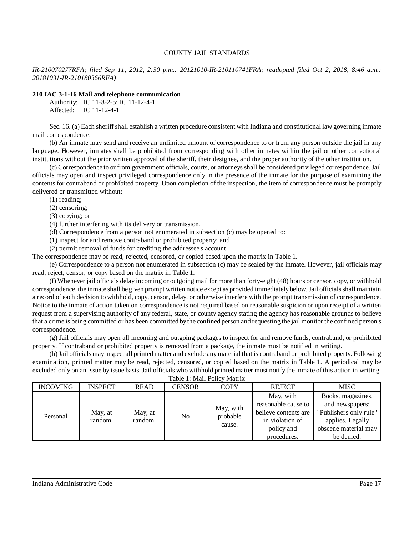*IR-210070277RFA; filed Sep 11, 2012, 2:30 p.m.: 20121010-IR-210110741FRA; readopted filed Oct 2, 2018, 8:46 a.m.: 20181031-IR-210180366RFA)*

### **210 IAC 3-1-16 Mail and telephone communication**

Authority: IC 11-8-2-5; IC 11-12-4-1 Affected: IC 11-12-4-1

Sec. 16. (a) Each sheriff shall establish a written procedure consistent with Indiana and constitutional law governing inmate mail correspondence.

(b) An inmate may send and receive an unlimited amount of correspondence to or from any person outside the jail in any language. However, inmates shall be prohibited from corresponding with other inmates within the jail or other correctional institutions without the prior written approval of the sheriff, their designee, and the proper authority of the other institution.

(c) Correspondence to or from government officials, courts, or attorneys shall be considered privileged correspondence. Jail officials may open and inspect privileged correspondence only in the presence of the inmate for the purpose of examining the contents for contraband or prohibited property. Upon completion of the inspection, the item of correspondence must be promptly delivered or transmitted without:

- (1) reading;
- (2) censoring;
- (3) copying; or

(4) further interfering with its delivery or transmission.

(d) Correspondence from a person not enumerated in subsection (c) may be opened to:

(1) inspect for and remove contraband or prohibited property; and

(2) permit removal of funds for crediting the addressee's account.

The correspondence may be read, rejected, censored, or copied based upon the matrix in Table 1.

(e) Correspondence to a person not enumerated in subsection (c) may be sealed by the inmate. However, jail officials may read, reject, censor, or copy based on the matrix in Table 1.

(f) Whenever jail officials delay incoming or outgoing mail for more than forty-eight (48) hours or censor, copy, or withhold correspondence, the inmate shall be given prompt written notice except as provided immediately below. Jail officials shall maintain a record of each decision to withhold, copy, censor, delay, or otherwise interfere with the prompt transmission of correspondence. Notice to the inmate of action taken on correspondence is not required based on reasonable suspicion or upon receipt of a written request from a supervising authority of any federal, state, or county agency stating the agency has reasonable grounds to believe that a crime is being committed or has been committed bythe confined person and requesting the jail monitor the confined person's correspondence.

(g) Jail officials may open all incoming and outgoing packages to inspect for and remove funds, contraband, or prohibited property. If contraband or prohibited property is removed from a package, the inmate must be notified in writing.

(h)Jail officials mayinspect all printed matter and exclude anymaterial that is contraband or prohibited property. Following examination, printed matter may be read, rejected, censored, or copied based on the matrix in Table 1. A periodical may be excluded only on an issue by issue basis. Jail officials who withhold printed matter must notify the inmate of this action in writing.

| Table 1: Mail Policy Matrix |  |  |
|-----------------------------|--|--|
|                             |  |  |

| <b>INCOMING</b> | <b>INSPECT</b>     | <b>READ</b>        | <b>CENSOR</b> | <b>COPY</b>                     | <b>REJECT</b>                                                                                            | <b>MISC</b>                                                                                                              |
|-----------------|--------------------|--------------------|---------------|---------------------------------|----------------------------------------------------------------------------------------------------------|--------------------------------------------------------------------------------------------------------------------------|
| Personal        | May, at<br>random. | May, at<br>random. | No            | May, with<br>probable<br>cause. | May, with<br>reasonable cause to<br>believe contents are<br>in violation of<br>policy and<br>procedures. | Books, magazines,<br>and newspapers:<br>"Publishers only rule"<br>applies. Legally<br>obscene material may<br>be denied. |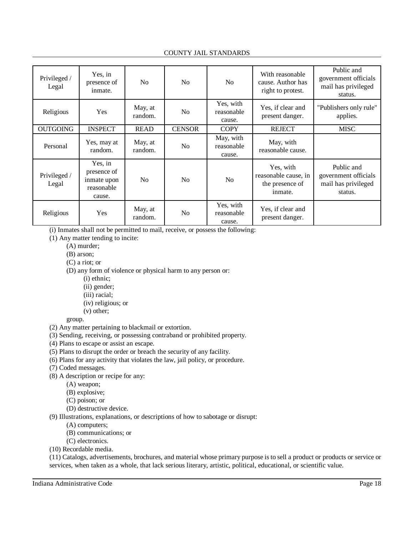### COUNTY JAIL STANDARDS

| Privileged /<br>Legal | Yes, in<br>presence of<br>inmate.                             | N <sub>0</sub>     | N <sub>0</sub> | N <sub>0</sub>                    | With reasonable<br>cause. Author has<br>right to protest.       | Public and<br>government officials<br>mail has privileged<br>status. |
|-----------------------|---------------------------------------------------------------|--------------------|----------------|-----------------------------------|-----------------------------------------------------------------|----------------------------------------------------------------------|
| Religious             | Yes                                                           | May, at<br>random. | N <sub>0</sub> | Yes, with<br>reasonable<br>cause. | Yes, if clear and<br>present danger.                            | "Publishers only rule"<br>applies.                                   |
| <b>OUTGOING</b>       | <b>INSPECT</b>                                                | <b>READ</b>        | <b>CENSOR</b>  | <b>COPY</b>                       | <b>REJECT</b>                                                   | <b>MISC</b>                                                          |
| Personal              | Yes, may at<br>random.                                        | May, at<br>random. | No             | May, with<br>reasonable<br>cause. | May, with<br>reasonable cause.                                  |                                                                      |
| Privileged /<br>Legal | Yes, in<br>presence of<br>inmate upon<br>reasonable<br>cause. | N <sub>0</sub>     | No             | N <sub>0</sub>                    | Yes, with<br>reasonable cause, in<br>the presence of<br>inmate. | Public and<br>government officials<br>mail has privileged<br>status. |
| Religious             | Yes                                                           | May, at<br>random. | N <sub>0</sub> | Yes, with<br>reasonable<br>cause. | Yes, if clear and<br>present danger.                            |                                                                      |

(i) Inmates shall not be permitted to mail, receive, or possess the following:

(1) Any matter tending to incite:

- (A) murder;
- (B) arson;
- (C) a riot; or

(D) any form of violence or physical harm to any person or:

- (i) ethnic;
- (ii) gender;
- (iii) racial;
- (iv) religious; or
- (v) other;

group.

- (2) Any matter pertaining to blackmail or extortion.
- (3) Sending, receiving, or possessing contraband or prohibited property.
- (4) Plans to escape or assist an escape.
- (5) Plans to disrupt the order or breach the security of any facility.
- (6) Plans for any activity that violates the law, jail policy, or procedure.
- (7) Coded messages.
- (8) A description or recipe for any:
	- (A) weapon;
	- (B) explosive;
	- (C) poison; or
	- (D) destructive device.
- (9) Illustrations, explanations, or descriptions of how to sabotage or disrupt:
	- (A) computers;
	- (B) communications; or
	- (C) electronics.
- (10) Recordable media.

(11) Catalogs, advertisements, brochures, and material whose primary purpose is to sell a product or products or service or services, when taken as a whole, that lack serious literary, artistic, political, educational, or scientific value.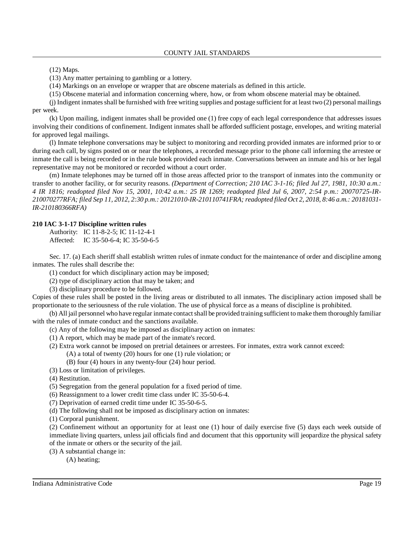(12) Maps.

(13) Any matter pertaining to gambling or a lottery.

(14) Markings on an envelope or wrapper that are obscene materials as defined in this article.

(15) Obscene material and information concerning where, how, or from whom obscene material may be obtained.

(j) Indigent inmatesshall be furnished with free writing supplies and postage sufficient for at least two (2) personal mailings per week.

(k) Upon mailing, indigent inmates shall be provided one (1) free copy of each legal correspondence that addresses issues involving their conditions of confinement. Indigent inmates shall be afforded sufficient postage, envelopes, and writing material for approved legal mailings.

(l) Inmate telephone conversations may be subject to monitoring and recording provided inmates are informed prior to or during each call, by signs posted on or near the telephones, a recorded message prior to the phone call informing the arrestee or inmate the call is being recorded or in the rule book provided each inmate. Conversations between an inmate and his or her legal representative may not be monitored or recorded without a court order.

(m) Inmate telephones may be turned off in those areas affected prior to the transport of inmates into the community or transfer to another facility, or for security reasons. *(Department of Correction; 210 IAC 3-1-16; filed Jul 27, 1981, 10:30 a.m.: 4 IR 1816; readopted filed Nov 15, 2001, 10:42 a.m.: 25 IR 1269; readopted filed Jul 6, 2007, 2:54 p.m.: 20070725-IR-*210070277RFA; filed Sep 11, 2012, 2:30 p.m.: 20121010-IR-210110741FRA; readopted filed Oct 2, 2018, 8:46 a.m.: 20181031-*IR-210180366RFA)*

### **210 IAC 3-1-17 Discipline written rules**

Authority: IC 11-8-2-5; IC 11-12-4-1 Affected: IC 35-50-6-4; IC 35-50-6-5

Sec. 17. (a) Each sheriff shall establish written rules of inmate conduct for the maintenance of order and discipline among inmates. The rules shall describe the:

(1) conduct for which disciplinary action may be imposed;

(2) type of disciplinary action that may be taken; and

(3) disciplinary procedure to be followed.

Copies of these rules shall be posted in the living areas or distributed to all inmates. The disciplinary action imposed shall be proportionate to the seriousness of the rule violation. The use of physical force as a means of discipline is prohibited.

(b) All jail personnel who have regular inmate contact shall be provided training sufficient to make them thoroughly familiar with the rules of inmate conduct and the sanctions available.

- (c) Any of the following may be imposed as disciplinary action on inmates:
- (1) A report, which may be made part of the inmate's record.
- (2) Extra work cannot be imposed on pretrial detainees or arrestees. For inmates, extra work cannot exceed:

(A) a total of twenty (20) hours for one (1) rule violation; or

- (B) four (4) hours in any twenty-four (24) hour period.
- (3) Loss or limitation of privileges.

(4) Restitution.

(5) Segregation from the general population for a fixed period of time.

(6) Reassignment to a lower credit time class under IC 35-50-6-4.

(7) Deprivation of earned credit time under IC 35-50-6-5.

(d) The following shall not be imposed as disciplinary action on inmates:

(1) Corporal punishment.

(2) Confinement without an opportunity for at least one (1) hour of daily exercise five (5) days each week outside of immediate living quarters, unless jail officials find and document that this opportunity will jeopardize the physical safety of the inmate or others or the security of the jail.

(3) A substantial change in:

(A) heating;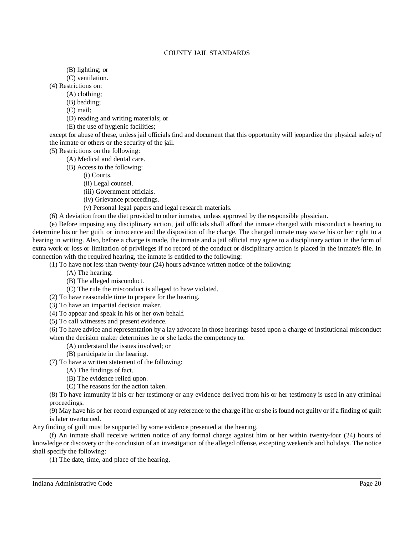- (B) lighting; or
- (C) ventilation.

(4) Restrictions on:

- (A) clothing;
	- (B) bedding;
	- (C) mail;
	- (D) reading and writing materials; or
	- (E) the use of hygienic facilities;

except for abuse of these, unless jail officials find and document that this opportunity will jeopardize the physical safety of the inmate or others or the security of the jail.

- (5) Restrictions on the following:
	- (A) Medical and dental care.
	- (B) Access to the following:
		- (i) Courts.
			- (ii) Legal counsel.
			- (iii) Government officials.
			- (iv) Grievance proceedings.
		- (v) Personal legal papers and legal research materials.
- (6) A deviation from the diet provided to other inmates, unless approved by the responsible physician.

(e) Before imposing any disciplinary action, jail officials shall afford the inmate charged with misconduct a hearing to determine his or her guilt or innocence and the disposition of the charge. The charged inmate may waive his or her right to a hearing in writing. Also, before a charge is made, the inmate and a jail official may agree to a disciplinary action in the form of extra work or loss or limitation of privileges if no record of the conduct or disciplinary action is placed in the inmate's file. In connection with the required hearing, the inmate is entitled to the following:

(1) To have not less than twenty-four (24) hours advance written notice of the following:

- (A) The hearing.
- (B) The alleged misconduct.
- (C) The rule the misconduct is alleged to have violated.
- (2) To have reasonable time to prepare for the hearing.
- (3) To have an impartial decision maker.
- (4) To appear and speak in his or her own behalf.
- (5) To call witnesses and present evidence.

(6) To have advice and representation by a lay advocate in those hearings based upon a charge of institutional misconduct when the decision maker determines he or she lacks the competency to:

- (A) understand the issues involved; or
- (B) participate in the hearing.
- (7) To have a written statement of the following:
	- (A) The findings of fact.
	- (B) The evidence relied upon.
	- (C) The reasons for the action taken.

(8) To have immunity if his or her testimony or any evidence derived from his or her testimony is used in any criminal proceedings.

(9) May have his or her record expunged of any reference to the charge if he or she is found not guilty or if a finding of guilt is later overturned.

Any finding of guilt must be supported by some evidence presented at the hearing.

(f) An inmate shall receive written notice of any formal charge against him or her within twenty-four (24) hours of knowledge or discovery or the conclusion of an investigation of the alleged offense, excepting weekends and holidays. The notice shall specify the following:

(1) The date, time, and place of the hearing.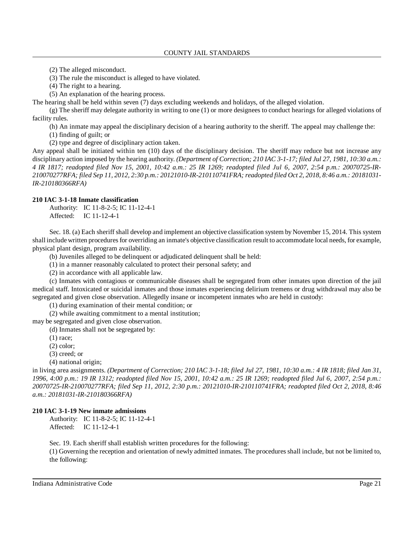(2) The alleged misconduct.

(3) The rule the misconduct is alleged to have violated.

(4) The right to a hearing.

(5) An explanation of the hearing process.

The hearing shall be held within seven (7) days excluding weekends and holidays, of the alleged violation.

(g) The sheriff may delegate authority in writing to one (1) or more designees to conduct hearings for alleged violations of facility rules.

(h) An inmate may appeal the disciplinary decision of a hearing authority to the sheriff. The appeal may challenge the:

(1) finding of guilt; or

(2) type and degree of disciplinary action taken.

Any appeal shall be initiated within ten (10) days of the disciplinary decision. The sheriff may reduce but not increase any disciplinary action imposed by the hearing authority. *(Department of Correction; 210 IAC 3-1-17; filed Jul 27, 1981, 10:30 a.m.: 4 IR 1817; readopted filed Nov 15, 2001, 10:42 a.m.: 25 IR 1269; readopted filed Jul 6, 2007, 2:54 p.m.: 20070725-IR-*210070277RFA; filed Sep 11, 2012, 2:30 p.m.: 20121010-IR-210110741FRA; readopted filed Oct 2, 2018, 8:46 a.m.: 20181031-*IR-210180366RFA)*

#### **210 IAC 3-1-18 Inmate classification**

Authority: IC 11-8-2-5; IC 11-12-4-1 Affected: IC 11-12-4-1

Sec. 18. (a) Each sheriff shall develop and implement an objective classification system by November 15, 2014. This system shall include written procedures for overriding an inmate's objective classification result to accommodate local needs, for example, physical plant design, program availability.

(b) Juveniles alleged to be delinquent or adjudicated delinquent shall be held:

(1) in a manner reasonably calculated to protect their personal safety; and

(2) in accordance with all applicable law.

(c) Inmates with contagious or communicable diseases shall be segregated from other inmates upon direction of the jail medical staff. Intoxicated or suicidal inmates and those inmates experiencing delirium tremens or drug withdrawal may also be segregated and given close observation. Allegedly insane or incompetent inmates who are held in custody:

(1) during examination of their mental condition; or

(2) while awaiting commitment to a mental institution;

may be segregated and given close observation.

(d) Inmates shall not be segregated by:

(1) race;

(2) color;

(3) creed; or

(4) national origin;

in living area assignments. *(Department of Correction; 210 IAC 3-1-18; filed Jul 27, 1981, 10:30 a.m.: 4 IR 1818; filed Jan 31,* 1996, 4:00 p.m.: 19 IR 1312; readopted filed Nov 15, 2001, 10:42 a.m.: 25 IR 1269; readopted filed Jul 6, 2007, 2:54 p.m.: *20070725-IR-210070277RFA; filed Sep 11, 2012, 2:30 p.m.: 20121010-IR-210110741FRA; readopted filed Oct 2, 2018, 8:46 a.m.: 20181031-IR-210180366RFA)*

### **210 IAC 3-1-19 New inmate admissions**

Authority: IC 11-8-2-5; IC 11-12-4-1 Affected: IC 11-12-4-1

Sec. 19. Each sheriff shall establish written procedures for the following:

(1) Governing the reception and orientation of newly admitted inmates. The procedures shall include, but not be limited to, the following: